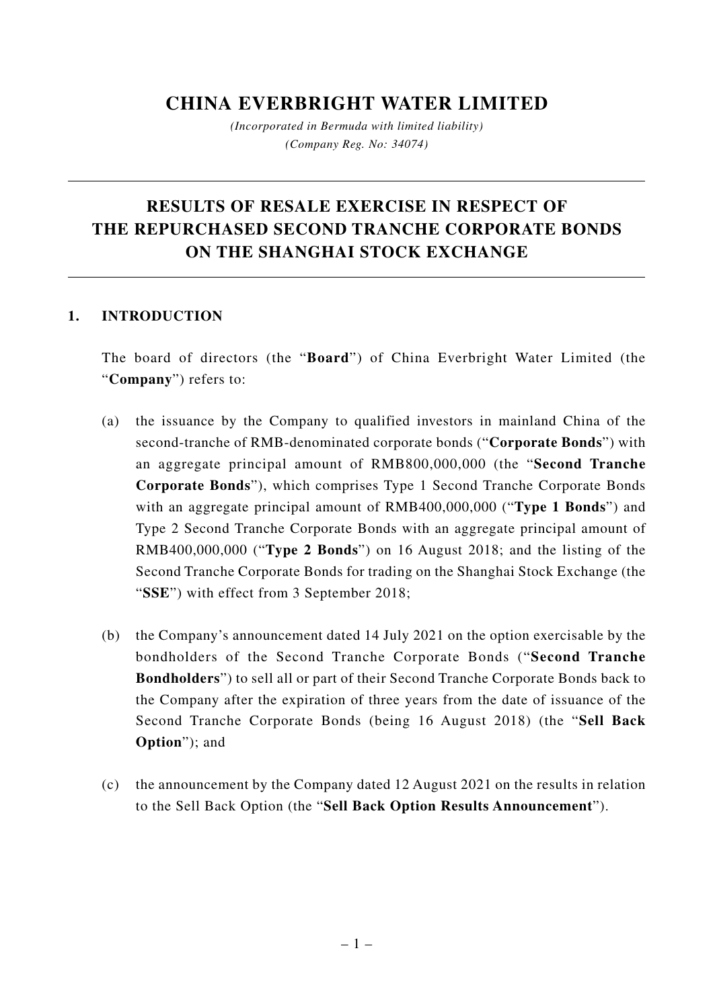## **CHINA EVERBRIGHT WATER LIMITED**

*(Incorporated in Bermuda with limited liability) (Company Reg. No: 34074)*

# **RESULTS OF RESALE EXERCISE IN RESPECT OF THE REPURCHASED SECOND TRANCHE CORPORATE BONDS ON THE SHANGHAI STOCK EXCHANGE**

#### **1. INTRODUCTION**

The board of directors (the "**Board**") of China Everbright Water Limited (the "**Company**") refers to:

- (a) the issuance by the Company to qualified investors in mainland China of the second-tranche of RMB-denominated corporate bonds ("**Corporate Bonds**") with an aggregate principal amount of RMB800,000,000 (the "**Second Tranche Corporate Bonds**"), which comprises Type 1 Second Tranche Corporate Bonds with an aggregate principal amount of RMB400,000,000 ("**Type 1 Bonds**") and Type 2 Second Tranche Corporate Bonds with an aggregate principal amount of RMB400,000,000 ("**Type 2 Bonds**") on 16 August 2018; and the listing of the Second Tranche Corporate Bonds for trading on the Shanghai Stock Exchange (the "**SSE**") with effect from 3 September 2018;
- (b) the Company's announcement dated 14 July 2021 on the option exercisable by the bondholders of the Second Tranche Corporate Bonds ("**Second Tranche Bondholders**") to sell all or part of their Second Tranche Corporate Bonds back to the Company after the expiration of three years from the date of issuance of the Second Tranche Corporate Bonds (being 16 August 2018) (the "**Sell Back Option**"); and
- (c) the announcement by the Company dated 12 August 2021 on the results in relation to the Sell Back Option (the "**Sell Back Option Results Announcement**").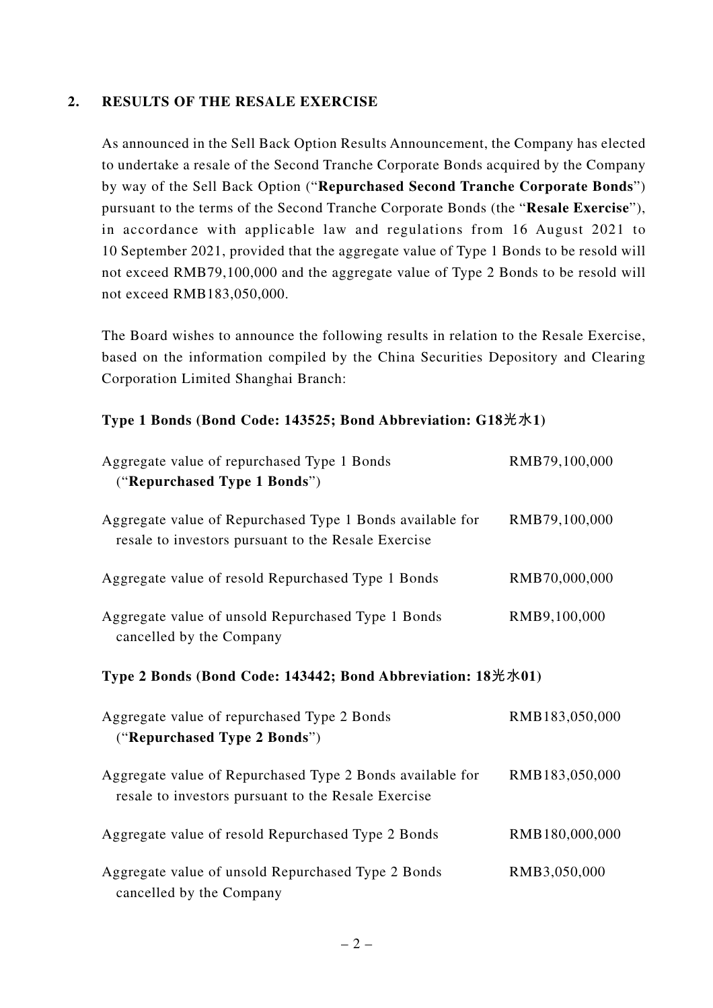#### **2. RESULTS OF THE RESALE EXERCISE**

As announced in the Sell Back Option Results Announcement, the Company has elected to undertake a resale of the Second Tranche Corporate Bonds acquired by the Company by way of the Sell Back Option ("**Repurchased Second Tranche Corporate Bonds**") pursuant to the terms of the Second Tranche Corporate Bonds (the "**Resale Exercise**"), in accordance with applicable law and regulations from 16 August 2021 to 10 September 2021, provided that the aggregate value of Type 1 Bonds to be resold will not exceed RMB79,100,000 and the aggregate value of Type 2 Bonds to be resold will not exceed RMB183,050,000.

The Board wishes to announce the following results in relation to the Resale Exercise, based on the information compiled by the China Securities Depository and Clearing Corporation Limited Shanghai Branch:

### **Type 1 Bonds (Bond Code: 143525; Bond Abbreviation: G18光水1)**

| Aggregate value of repurchased Type 1 Bonds<br>("Repurchased Type 1 Bonds")                                      | RMB79,100,000  |
|------------------------------------------------------------------------------------------------------------------|----------------|
| Aggregate value of Repurchased Type 1 Bonds available for<br>resale to investors pursuant to the Resale Exercise | RMB79,100,000  |
| Aggregate value of resold Repurchased Type 1 Bonds                                                               | RMB70,000,000  |
| Aggregate value of unsold Repurchased Type 1 Bonds<br>cancelled by the Company                                   | RMB9,100,000   |
| Type 2 Bonds (Bond Code: 143442; Bond Abbreviation: 18光水01)                                                      |                |
| Aggregate value of repurchased Type 2 Bonds<br>("Repurchased Type 2 Bonds")                                      | RMB183,050,000 |
| Aggregate value of Repurchased Type 2 Bonds available for<br>resale to investors pursuant to the Resale Exercise | RMB183,050,000 |
| Aggregate value of resold Repurchased Type 2 Bonds                                                               | RMB180,000,000 |
| Aggregate value of unsold Repurchased Type 2 Bonds<br>cancelled by the Company                                   | RMB3,050,000   |